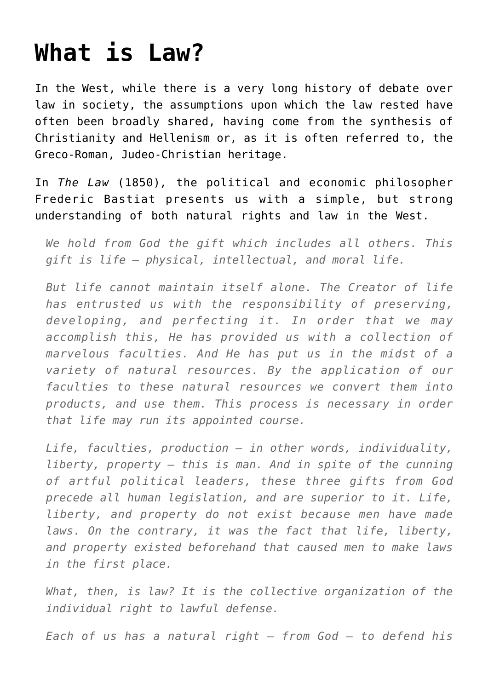## **[What is Law?](https://intellectualtakeout.org/2016/05/what-is-law/)**

In the West, while there is a very long history of debate over law in society, the assumptions upon which the law rested have often been broadly shared, having come from the synthesis of Christianity and Hellenism or, as it is often referred to, the Greco-Roman, Judeo-Christian heritage.

In *The Law* (1850)*,* the political and economic philosopher Frederic Bastiat presents us with a simple, but strong understanding of both natural rights and law in the West.

*We hold from God the gift which includes all others. This gift is life — physical, intellectual, and moral life.*

*But life cannot maintain itself alone. The Creator of life has entrusted us with the responsibility of preserving, developing, and perfecting it. In order that we may accomplish this, He has provided us with a collection of marvelous faculties. And He has put us in the midst of a variety of natural resources. By the application of our faculties to these natural resources we convert them into products, and use them. This process is necessary in order that life may run its appointed course.*

*Life, faculties, production — in other words, individuality, liberty, property — this is man. And in spite of the cunning of artful political leaders, these three gifts from God precede all human legislation, and are superior to it. Life, liberty, and property do not exist because men have made laws. On the contrary, it was the fact that life, liberty, and property existed beforehand that caused men to make laws in the first place.*

*What, then, is law? It is the collective organization of the individual right to lawful defense.*

*Each of us has a natural right — from God — to defend his*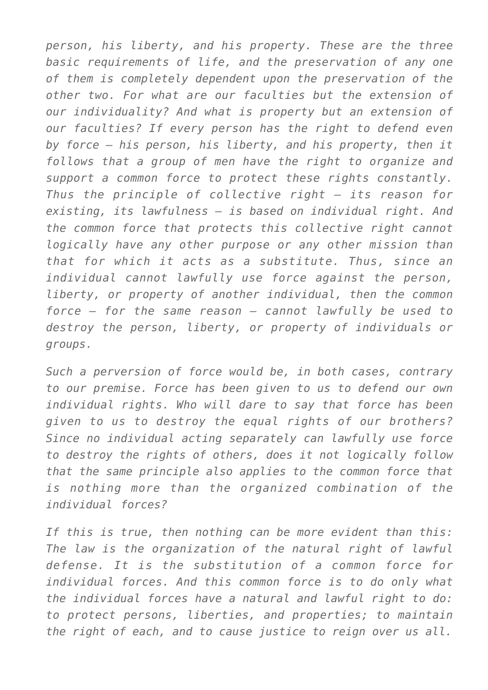*person, his liberty, and his property. These are the three basic requirements of life, and the preservation of any one of them is completely dependent upon the preservation of the other two. For what are our faculties but the extension of our individuality? And what is property but an extension of our faculties? If every person has the right to defend even by force — his person, his liberty, and his property, then it follows that a group of men have the right to organize and support a common force to protect these rights constantly. Thus the principle of collective right — its reason for existing, its lawfulness — is based on individual right. And the common force that protects this collective right cannot logically have any other purpose or any other mission than that for which it acts as a substitute. Thus, since an individual cannot lawfully use force against the person, liberty, or property of another individual, then the common force — for the same reason — cannot lawfully be used to destroy the person, liberty, or property of individuals or groups.*

*Such a perversion of force would be, in both cases, contrary to our premise. Force has been given to us to defend our own individual rights. Who will dare to say that force has been given to us to destroy the equal rights of our brothers? Since no individual acting separately can lawfully use force to destroy the rights of others, does it not logically follow that the same principle also applies to the common force that is nothing more than the organized combination of the individual forces?*

*If this is true, then nothing can be more evident than this: The law is the organization of the natural right of lawful defense. It is the substitution of a common force for individual forces. And this common force is to do only what the individual forces have a natural and lawful right to do: to protect persons, liberties, and properties; to maintain the right of each, and to cause justice to reign over us all.*